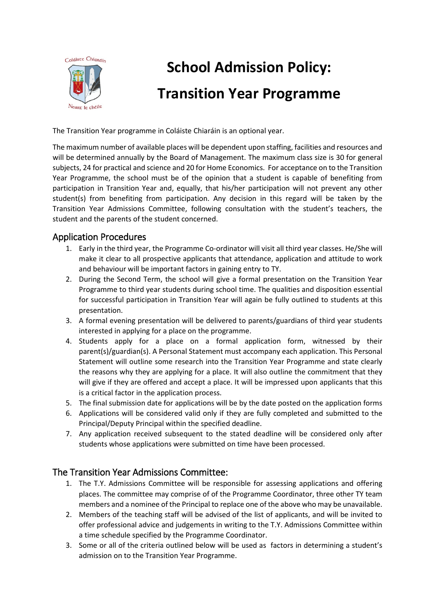

# **School Admission Policy: Transition Year Programme**

The Transition Year programme in Coláiste Chiaráin is an optional year.

The maximum number of available places will be dependent upon staffing, facilities and resources and will be determined annually by the Board of Management. The maximum class size is 30 for general subjects, 24 for practical and science and 20 for Home Economics. For acceptance on to the Transition Year Programme, the school must be of the opinion that a student is capable of benefiting from participation in Transition Year and, equally, that his/her participation will not prevent any other student(s) from benefiting from participation. Any decision in this regard will be taken by the Transition Year Admissions Committee, following consultation with the student's teachers, the student and the parents of the student concerned.

### Application Procedures

- 1. Early in the third year, the Programme Co-ordinator will visit all third year classes. He/She will make it clear to all prospective applicants that attendance, application and attitude to work and behaviour will be important factors in gaining entry to TY.
- 2. During the Second Term, the school will give a formal presentation on the Transition Year Programme to third year students during school time. The qualities and disposition essential for successful participation in Transition Year will again be fully outlined to students at this presentation.
- 3. A formal evening presentation will be delivered to parents/guardians of third year students interested in applying for a place on the programme.
- 4. Students apply for a place on a formal application form, witnessed by their parent(s)/guardian(s). A Personal Statement must accompany each application. This Personal Statement will outline some research into the Transition Year Programme and state clearly the reasons why they are applying for a place. It will also outline the commitment that they will give if they are offered and accept a place. It will be impressed upon applicants that this is a critical factor in the application process.
- 5. The final submission date for applications will be by the date posted on the application forms
- 6. Applications will be considered valid only if they are fully completed and submitted to the Principal/Deputy Principal within the specified deadline.
- 7. Any application received subsequent to the stated deadline will be considered only after students whose applications were submitted on time have been processed.

## The Transition Year Admissions Committee:

- 1. The T.Y. Admissions Committee will be responsible for assessing applications and offering places. The committee may comprise of of the Programme Coordinator, three other TY team members and a nominee of the Principal to replace one of the above who may be unavailable.
- 2. Members of the teaching staff will be advised of the list of applicants, and will be invited to offer professional advice and judgements in writing to the T.Y. Admissions Committee within a time schedule specified by the Programme Coordinator.
- 3. Some or all of the criteria outlined below will be used as factors in determining a student's admission on to the Transition Year Programme.